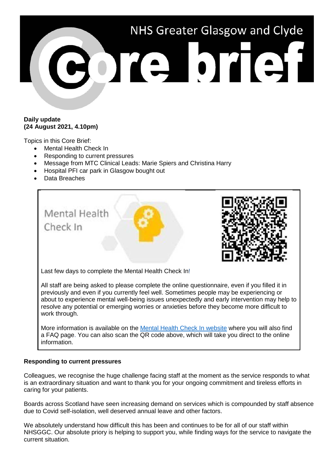

## **Daily update (24 August 2021, 4.10pm)**

Topics in this Core Brief:

- Mental Health Check In
- Responding to current pressures
- Message from MTC Clinical Leads: Marie Spiers and Christina Harry
- Hospital PFI car park in Glasgow bought out
- Data Breaches



resolve any potential or emerging worries or anxieties before they become more difficult to work through.

More information is available on the [Mental Health Check In website](https://www.nhsggc.org.uk/about-us/professional-support-sites/mental-health-check-in/) where you will also find a FAQ page. You can also scan the QR code above, which will take you direct to the online information.

## **Responding to current pressures**

Colleagues, we recognise the huge challenge facing staff at the moment as the service responds to what is an extraordinary situation and want to thank you for your ongoing commitment and tireless efforts in caring for your patients.

Boards across Scotland have seen increasing demand on services which is compounded by staff absence due to Covid self-isolation, well deserved annual leave and other factors.

We absolutely understand how difficult this has been and continues to be for all of our staff within NHSGGC. Our absolute priory is helping to support you, while finding ways for the service to navigate the current situation.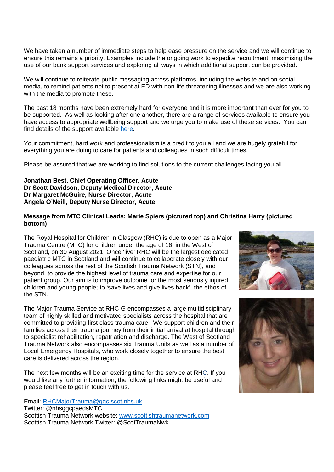We have taken a number of immediate steps to help ease pressure on the service and we will continue to ensure this remains a priority. Examples include the ongoing work to expedite recruitment, maximising the use of our bank support services and exploring all ways in which additional support can be provided.

We will continue to reiterate public messaging across platforms, including the website and on social media, to remind patients not to present at ED with non-life threatening illnesses and we are also working with the media to promote these.

The past 18 months have been extremely hard for everyone and it is more important than ever for you to be supported. As well as looking after one another, there are a range of services available to ensure you have access to appropriate wellbeing support and we urge you to make use of these services. You can find details of the support available [here.](https://www.nhsggc.org.uk/working-with-us/staff-health/mental-health-and-wellbeing/)

Your commitment, hard work and professionalism is a credit to you all and we are hugely grateful for everything you are doing to care for patients and colleagues in such difficult times.

Please be assured that we are working to find solutions to the current challenges facing you all.

#### **Jonathan Best, Chief Operating Officer, Acute Dr Scott Davidson, Deputy Medical Director, Acute Dr Margaret McGuire, Nurse Director, Acute Angela O'Neill, Deputy Nurse Director, Acute**

# **Message from MTC Clinical Leads: Marie Spiers (pictured top) and Christina Harry (pictured bottom)**

The Royal Hospital for Children in Glasgow (RHC) is due to open as a Major Trauma Centre (MTC) for children under the age of 16, in the West of Scotland, on 30 August 2021. Once 'live' RHC will be the largest dedicated paediatric MTC in Scotland and will continue to collaborate closely with our colleagues across the rest of the Scottish Trauma Network (STN), and beyond, to provide the highest level of trauma care and expertise for our patient group. Our aim is to improve outcome for the most seriously injured children and young people; to 'save lives and give lives back'- the ethos of the STN.

The Major Trauma Service at RHC-G encompasses a large multidisciplinary team of highly skilled and motivated specialists across the hospital that are committed to providing first class trauma care. We support children and their families across their trauma journey from their initial arrival at hospital through to specialist rehabilitation, repatriation and discharge. The West of Scotland Trauma Network also encompasses six Trauma Units as well as a number of Local Emergency Hospitals, who work closely together to ensure the best care is delivered across the region.

The next few months will be an exciting time for the service at RHC. If you would like any further information, the following links might be useful and please feel free to get in touch with us.

Email: [RHCMajorTrauma@ggc.scot.nhs.uk](mailto:RHCMajorTrauma@ggc.scot.nhs.uk)

Twitter: @nhsggcpaedsMTC Scottish Trauma Network website: [www.scottishtraumanetwork.com](http://www.scottishtraumanetwork.com/) Scottish Trauma Network Twitter: @ScotTraumaNwk